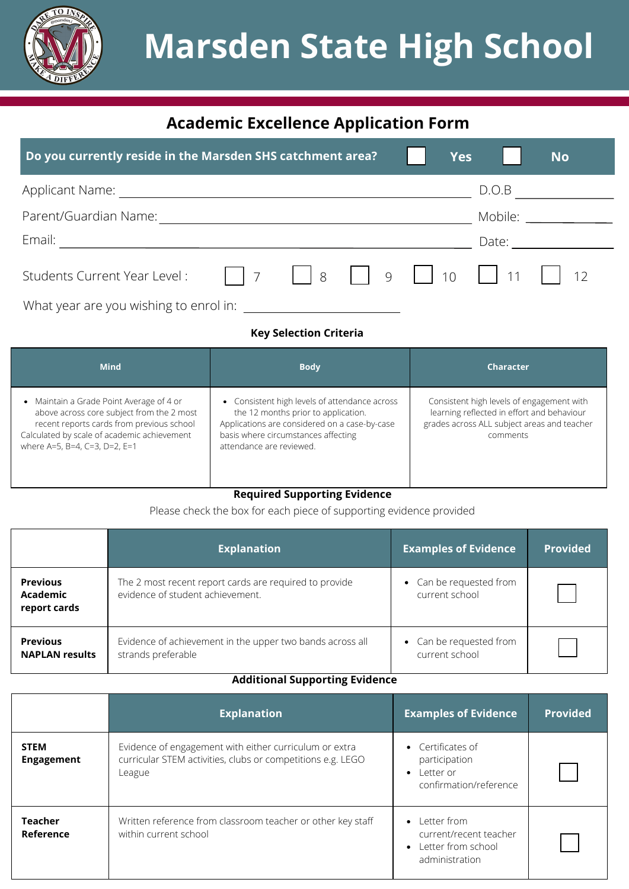

# **Marsden State High School**

## **Academic Excellence Application Form**

| Do you currently reside in the Marsden SHS catchment area? |  | <b>Yes</b> |             | <b>No</b> |  |
|------------------------------------------------------------|--|------------|-------------|-----------|--|
| Applicant Name:                                            |  |            | D.O.B       |           |  |
| Parent/Guardian Name:                                      |  |            | Mobile:     |           |  |
| Email:                                                     |  |            | Date: Date: |           |  |
|                                                            |  |            |             |           |  |
| What year are you wishing to enrol in:                     |  |            |             |           |  |

#### **Key Selection Criteria**

| <b>Mind</b>                                                                                                                                                                                                        | <b>Body</b>                                                                                                                                                                                              | <b>Character</b>                                                                                                                                   |
|--------------------------------------------------------------------------------------------------------------------------------------------------------------------------------------------------------------------|----------------------------------------------------------------------------------------------------------------------------------------------------------------------------------------------------------|----------------------------------------------------------------------------------------------------------------------------------------------------|
| • Maintain a Grade Point Average of 4 or<br>above across core subject from the 2 most<br>recent reports cards from previous school<br>Calculated by scale of academic achievement<br>where A=5, B=4, C=3, D=2, E=1 | • Consistent high levels of attendance across<br>the 12 months prior to application.<br>Applications are considered on a case-by-case<br>basis where circumstances affecting<br>attendance are reviewed. | Consistent high levels of engagement with<br>learning reflected in effort and behaviour<br>grades across ALL subject areas and teacher<br>comments |

#### **Required Supporting Evidence**

Please check the box for each piece of supporting evidence provided

|                                             | <b>Explanation</b>                                                                         | <b>Examples of Evidence</b>               | <b>Provided</b> |
|---------------------------------------------|--------------------------------------------------------------------------------------------|-------------------------------------------|-----------------|
| <b>Previous</b><br>Academic<br>report cards | The 2 most recent report cards are required to provide<br>evidence of student achievement. | • Can be requested from<br>current school |                 |
| <b>Previous</b><br><b>NAPLAN results</b>    | Evidence of achievement in the upper two bands across all<br>strands preferable            | • Can be requested from<br>current school |                 |

## **Additional Supporting Evidence**

|                                  | <b>Explanation</b>                                                                                                              | <b>Examples of Evidence</b>                                                               | <b>Provided</b> |
|----------------------------------|---------------------------------------------------------------------------------------------------------------------------------|-------------------------------------------------------------------------------------------|-----------------|
| <b>STEM</b><br><b>Engagement</b> | Evidence of engagement with either curriculum or extra<br>curricular STEM activities, clubs or competitions e.g. LEGO<br>League | • Certificates of<br>participation<br>Letter or<br>$\bullet$<br>confirmation/reference    |                 |
| <b>Teacher</b><br>Reference      | Written reference from classroom teacher or other key staff<br>within current school                                            | $\bullet$ Letter from<br>current/recent teacher<br>• Letter from school<br>administration |                 |